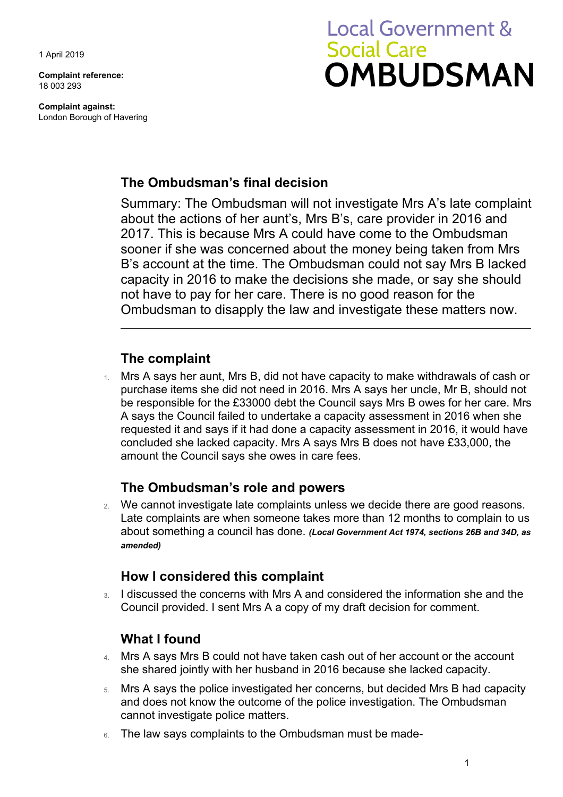1 April 2019

**Complaint reference:**  18 003 293

**Complaint against:**  London Borough of Havering

# **Local Government & Social Care OMBUDSMAN**

## **The Ombudsman's final decision**

 2017. This is because Mrs A could have come to the Ombudsman Summary: The Ombudsman will not investigate Mrs A's late complaint about the actions of her aunt's, Mrs B's, care provider in 2016 and sooner if she was concerned about the money being taken from Mrs B's account at the time. The Ombudsman could not say Mrs B lacked capacity in 2016 to make the decisions she made, or say she should not have to pay for her care. There is no good reason for the Ombudsman to disapply the law and investigate these matters now.

## **The complaint**

 1. Mrs A says her aunt, Mrs B, did not have capacity to make withdrawals of cash or purchase items she did not need in 2016. Mrs A says her uncle, Mr B, should not be responsible for the £33000 debt the Council says Mrs B owes for her care. Mrs A says the Council failed to undertake a capacity assessment in 2016 when she requested it and says if it had done a capacity assessment in 2016, it would have concluded she lacked capacity. Mrs A says Mrs B does not have £33,000, the amount the Council says she owes in care fees.

## **The Ombudsman's role and powers**

 Late complaints are when someone takes more than 12 months to complain to us 2. We cannot investigate late complaints unless we decide there are good reasons. about something a council has done. *(Local Government Act 1974, sections 26B and 34D, as amended)* 

### **How I considered this complaint**

3. I discussed the concerns with Mrs A and considered the information she and the Council provided. I sent Mrs A a copy of my draft decision for comment.

## **What I found**

- 4. Mrs A says Mrs B could not have taken cash out of her account or the account she shared jointly with her husband in 2016 because she lacked capacity.
- 5. Mrs A says the police investigated her concerns, but decided Mrs B had capacity and does not know the outcome of the police investigation. The Ombudsman cannot investigate police matters.
- 6. The law says complaints to the Ombudsman must be made-